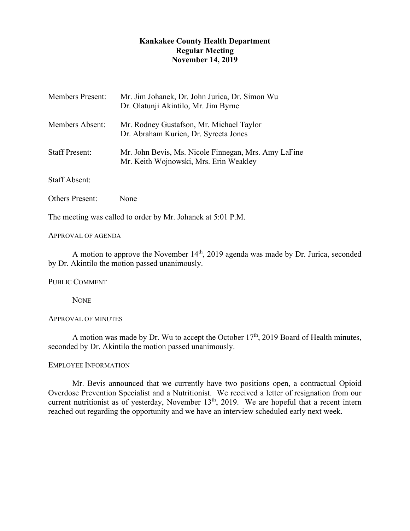# **Kankakee County Health Department Regular Meeting November 14, 2019**

| <b>Members Present:</b> | Mr. Jim Johanek, Dr. John Jurica, Dr. Simon Wu<br>Dr. Olatunji Akintilo, Mr. Jim Byrne         |
|-------------------------|------------------------------------------------------------------------------------------------|
| Members Absent:         | Mr. Rodney Gustafson, Mr. Michael Taylor<br>Dr. Abraham Kurien, Dr. Syreeta Jones              |
| <b>Staff Present:</b>   | Mr. John Bevis, Ms. Nicole Finnegan, Mrs. Amy LaFine<br>Mr. Keith Wojnowski, Mrs. Erin Weakley |
| <b>Staff Absent:</b>    |                                                                                                |

Others Present: None

The meeting was called to order by Mr. Johanek at 5:01 P.M.

APPROVAL OF AGENDA

A motion to approve the November 14<sup>th</sup>, 2019 agenda was made by Dr. Jurica, seconded by Dr. Akintilo the motion passed unanimously.

PUBLIC COMMENT

**NONE** 

## APPROVAL OF MINUTES

A motion was made by Dr. Wu to accept the October  $17<sup>th</sup>$ , 2019 Board of Health minutes, seconded by Dr. Akintilo the motion passed unanimously.

## EMPLOYEE INFORMATION

Mr. Bevis announced that we currently have two positions open, a contractual Opioid Overdose Prevention Specialist and a Nutritionist. We received a letter of resignation from our current nutritionist as of yesterday, November  $13<sup>th</sup>$ , 2019. We are hopeful that a recent intern reached out regarding the opportunity and we have an interview scheduled early next week.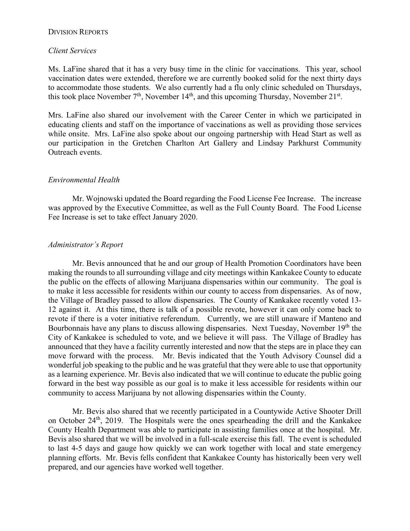## DIVISION REPORTS

## *Client Services*

Ms. LaFine shared that it has a very busy time in the clinic for vaccinations. This year, school vaccination dates were extended, therefore we are currently booked solid for the next thirty days to accommodate those students. We also currently had a flu only clinic scheduled on Thursdays, this took place November  $7<sup>th</sup>$ , November  $14<sup>th</sup>$ , and this upcoming Thursday, November  $21<sup>st</sup>$ .

Mrs. LaFine also shared our involvement with the Career Center in which we participated in educating clients and staff on the importance of vaccinations as well as providing those services while onsite. Mrs. LaFine also spoke about our ongoing partnership with Head Start as well as our participation in the Gretchen Charlton Art Gallery and Lindsay Parkhurst Community Outreach events.

# *Environmental Health*

Mr. Wojnowski updated the Board regarding the Food License Fee Increase. The increase was approved by the Executive Committee, as well as the Full County Board. The Food License Fee Increase is set to take effect January 2020.

# *Administrator's Report*

Mr. Bevis announced that he and our group of Health Promotion Coordinators have been making the rounds to all surrounding village and city meetings within Kankakee County to educate the public on the effects of allowing Marijuana dispensaries within our community. The goal is to make it less accessible for residents within our county to access from dispensaries. As of now, the Village of Bradley passed to allow dispensaries. The County of Kankakee recently voted 13- 12 against it. At this time, there is talk of a possible revote, however it can only come back to revote if there is a voter initiative referendum. Currently, we are still unaware if Manteno and Bourbonnais have any plans to discuss allowing dispensaries. Next Tuesday, November 19<sup>th</sup> the City of Kankakee is scheduled to vote, and we believe it will pass. The Village of Bradley has announced that they have a facility currently interested and now that the steps are in place they can move forward with the process. Mr. Bevis indicated that the Youth Advisory Counsel did a wonderful job speaking to the public and he was grateful that they were able to use that opportunity as a learning experience. Mr. Bevis also indicated that we will continue to educate the public going forward in the best way possible as our goal is to make it less accessible for residents within our community to access Marijuana by not allowing dispensaries within the County.

Mr. Bevis also shared that we recently participated in a Countywide Active Shooter Drill on October 24<sup>th</sup>, 2019. The Hospitals were the ones spearheading the drill and the Kankakee County Health Department was able to participate in assisting families once at the hospital. Mr. Bevis also shared that we will be involved in a full-scale exercise this fall. The event is scheduled to last 4-5 days and gauge how quickly we can work together with local and state emergency planning efforts. Mr. Bevis fells confident that Kankakee County has historically been very well prepared, and our agencies have worked well together.